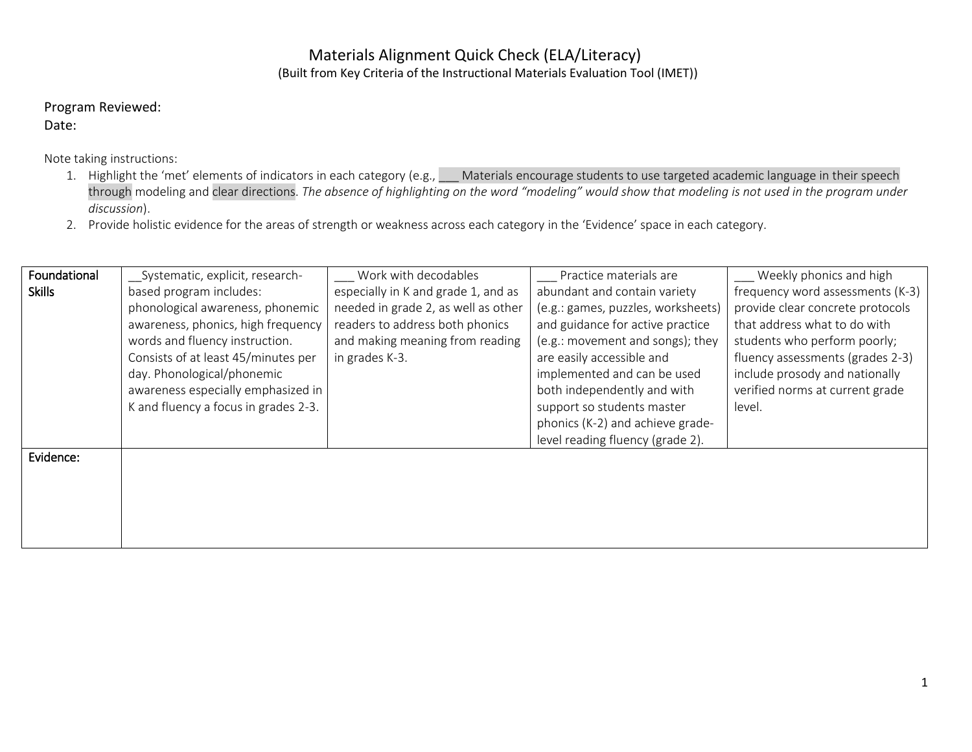## Materials Alignment Quick Check (ELA/Literacy) (Built from Key Criteria of the Instructional Materials Evaluation Tool (IMET))

Program Reviewed:

Date:

Note taking instructions:

- 1. Highlight the 'met' elements of indicators in each category (e.g., Materials encourage students to use targeted academic language in their speech through modeling and clear directions. *The absence of highlighting on the word "modeling" would show that modeling is not used in the program under discussion*).
- 2. Provide holistic evidence for the areas of strength or weakness across each category in the 'Evidence' space in each category.

| Foundational  | Systematic, explicit, research-      | Work with decodables                | Practice materials are             | Weekly phonics and high          |
|---------------|--------------------------------------|-------------------------------------|------------------------------------|----------------------------------|
| <b>Skills</b> | based program includes:              | especially in K and grade 1, and as | abundant and contain variety       | frequency word assessments (K-3) |
|               | phonological awareness, phonemic     | needed in grade 2, as well as other | (e.g.: games, puzzles, worksheets) | provide clear concrete protocols |
|               | awareness, phonics, high frequency   | readers to address both phonics     | and guidance for active practice   | that address what to do with     |
|               | words and fluency instruction.       | and making meaning from reading     | (e.g.: movement and songs); they   | students who perform poorly;     |
|               | Consists of at least 45/minutes per  | in grades K-3.                      | are easily accessible and          | fluency assessments (grades 2-3) |
|               | day. Phonological/phonemic           |                                     | implemented and can be used        | include prosody and nationally   |
|               | awareness especially emphasized in   |                                     | both independently and with        | verified norms at current grade  |
|               | K and fluency a focus in grades 2-3. |                                     | support so students master         | level.                           |
|               |                                      |                                     | phonics (K-2) and achieve grade-   |                                  |
|               |                                      |                                     | level reading fluency (grade 2).   |                                  |
| Evidence:     |                                      |                                     |                                    |                                  |
|               |                                      |                                     |                                    |                                  |
|               |                                      |                                     |                                    |                                  |
|               |                                      |                                     |                                    |                                  |
|               |                                      |                                     |                                    |                                  |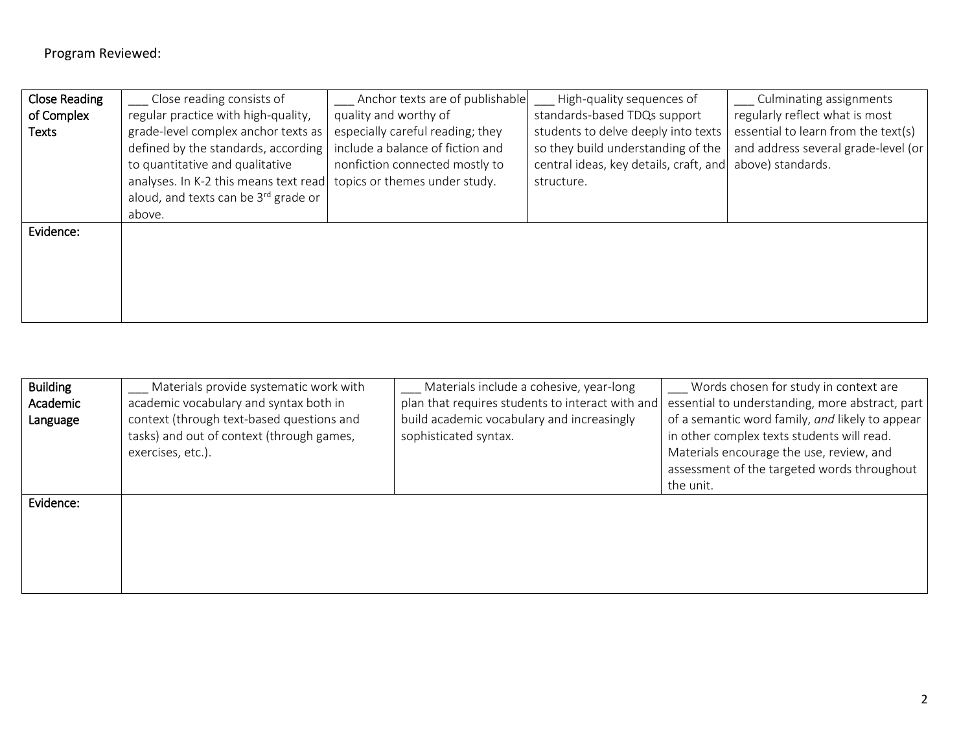| <b>Close Reading</b> | Close reading consists of                        | Anchor texts are of publishable  | High-quality sequences of              | Culminating assignments             |
|----------------------|--------------------------------------------------|----------------------------------|----------------------------------------|-------------------------------------|
| of Complex           | regular practice with high-quality,              | quality and worthy of            | standards-based TDQs support           | regularly reflect what is most      |
| <b>Texts</b>         | grade-level complex anchor texts as              | especially careful reading; they | students to delve deeply into texts    | essential to learn from the text(s) |
|                      | defined by the standards, according              | include a balance of fiction and | so they build understanding of the     | and address several grade-level (or |
|                      | to quantitative and qualitative                  | nonfiction connected mostly to   | central ideas, key details, craft, and | above) standards.                   |
|                      | analyses. In K-2 this means text read            | topics or themes under study.    | structure.                             |                                     |
|                      | aloud, and texts can be 3 <sup>rd</sup> grade or |                                  |                                        |                                     |
|                      | above.                                           |                                  |                                        |                                     |
| Evidence:            |                                                  |                                  |                                        |                                     |
|                      |                                                  |                                  |                                        |                                     |
|                      |                                                  |                                  |                                        |                                     |
|                      |                                                  |                                  |                                        |                                     |
|                      |                                                  |                                  |                                        |                                     |
|                      |                                                  |                                  |                                        |                                     |

| <b>Building</b><br>Academic<br>Language | Materials provide systematic work with<br>academic vocabulary and syntax both in<br>context (through text-based questions and<br>tasks) and out of context (through games,<br>exercises, etc.). | Materials include a cohesive, year-long<br>plan that requires students to interact with and<br>build academic vocabulary and increasingly<br>sophisticated syntax. | ___ Words chosen for study in context are<br>essential to understanding, more abstract, part<br>of a semantic word family, and likely to appear<br>in other complex texts students will read.<br>Materials encourage the use, review, and<br>assessment of the targeted words throughout<br>the unit. |
|-----------------------------------------|-------------------------------------------------------------------------------------------------------------------------------------------------------------------------------------------------|--------------------------------------------------------------------------------------------------------------------------------------------------------------------|-------------------------------------------------------------------------------------------------------------------------------------------------------------------------------------------------------------------------------------------------------------------------------------------------------|
| Evidence:                               |                                                                                                                                                                                                 |                                                                                                                                                                    |                                                                                                                                                                                                                                                                                                       |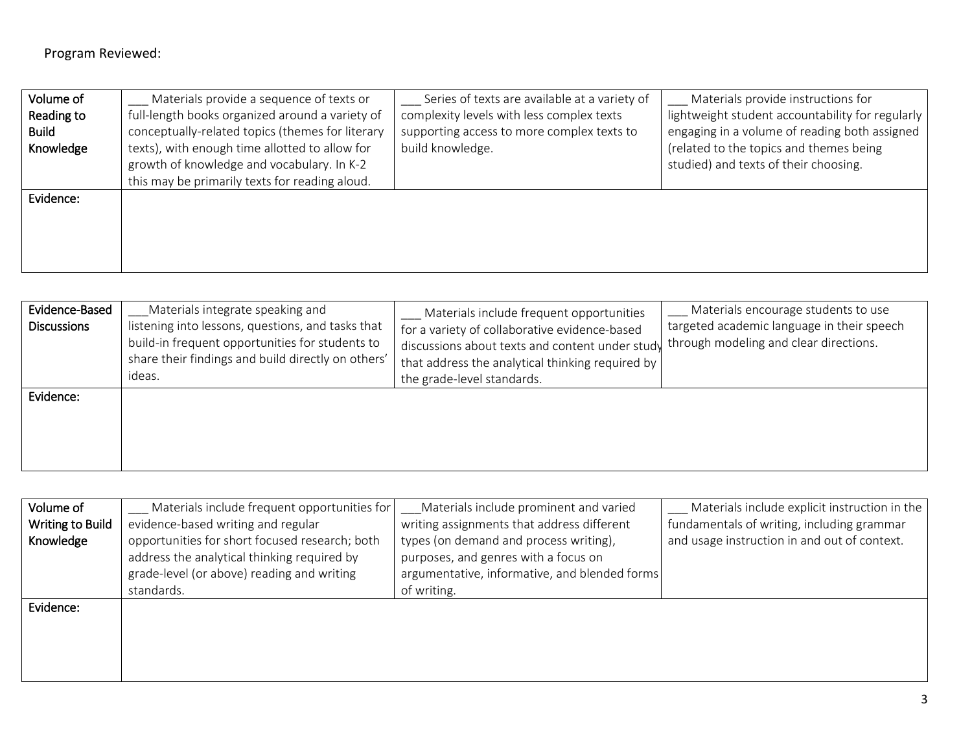| Volume of    | Materials provide a sequence of texts or         | Series of texts are available at a variety of | Materials provide instructions for               |
|--------------|--------------------------------------------------|-----------------------------------------------|--------------------------------------------------|
| Reading to   | full-length books organized around a variety of  | complexity levels with less complex texts     | lightweight student accountability for regularly |
| <b>Build</b> | conceptually-related topics (themes for literary | supporting access to more complex texts to    | engaging in a volume of reading both assigned    |
| Knowledge    | texts), with enough time allotted to allow for   | build knowledge.                              | (related to the topics and themes being          |
|              | growth of knowledge and vocabulary. In K-2       |                                               | studied) and texts of their choosing.            |
|              | this may be primarily texts for reading aloud.   |                                               |                                                  |
| Evidence:    |                                                  |                                               |                                                  |
|              |                                                  |                                               |                                                  |
|              |                                                  |                                               |                                                  |
|              |                                                  |                                               |                                                  |
|              |                                                  |                                               |                                                  |

| Evidence-Based<br><b>Discussions</b> | Materials integrate speaking and<br>listening into lessons, questions, and tasks that<br>build-in frequent opportunities for students to<br>share their findings and build directly on others'<br>ideas. | Materials include frequent opportunities<br>for a variety of collaborative evidence-based<br>discussions about texts and content under study<br>that address the analytical thinking required by<br>the grade-level standards. | Materials encourage students to use<br>targeted academic language in their speech<br>through modeling and clear directions. |
|--------------------------------------|----------------------------------------------------------------------------------------------------------------------------------------------------------------------------------------------------------|--------------------------------------------------------------------------------------------------------------------------------------------------------------------------------------------------------------------------------|-----------------------------------------------------------------------------------------------------------------------------|
| Evidence:                            |                                                                                                                                                                                                          |                                                                                                                                                                                                                                |                                                                                                                             |

| Volume of<br>Writing to Build<br>Knowledge | Materials include frequent opportunities for<br>evidence-based writing and regular<br>opportunities for short focused research; both<br>address the analytical thinking required by<br>grade-level (or above) reading and writing | Materials include prominent and varied<br>writing assignments that address different<br>types (on demand and process writing),<br>purposes, and genres with a focus on<br>argumentative, informative, and blended forms | Materials include explicit instruction in the<br>fundamentals of writing, including grammar<br>and usage instruction in and out of context. |
|--------------------------------------------|-----------------------------------------------------------------------------------------------------------------------------------------------------------------------------------------------------------------------------------|-------------------------------------------------------------------------------------------------------------------------------------------------------------------------------------------------------------------------|---------------------------------------------------------------------------------------------------------------------------------------------|
|                                            | standards.                                                                                                                                                                                                                        | of writing.                                                                                                                                                                                                             |                                                                                                                                             |
| Evidence:                                  |                                                                                                                                                                                                                                   |                                                                                                                                                                                                                         |                                                                                                                                             |